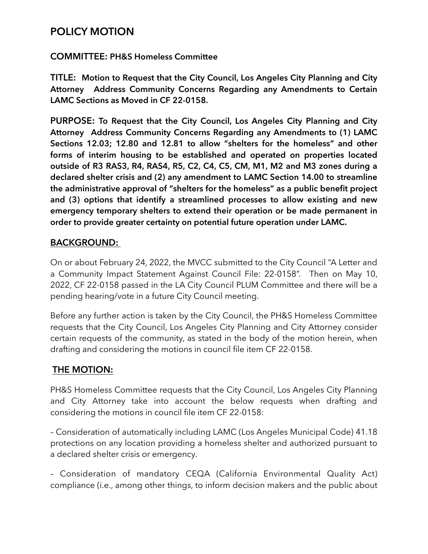## **POLICY MOTION**

### **COMMITTEE: PH&S Homeless Committee**

**TITLE: Motion to Request that the City Council, Los Angeles City Planning and City Attorney Address Community Concerns Regarding any Amendments to Certain LAMC Sections as Moved in CF 22-0158.** 

**PURPOSE: To Request that the City Council, Los Angeles City Planning and City Attorney Address Community Concerns Regarding any Amendments to (1) LAMC Sections 12.03; 12.80 and 12.81 to allow "shelters for the homeless" and other forms of interim housing to be established and operated on properties located outside of R3 RAS3, R4, RAS4, R5, C2, C4, C5, CM, M1, M2 and M3 zones during a declared shelter crisis and (2) any amendment to LAMC Section 14.00 to streamline the administrative approval of "shelters for the homeless" as a public benefit project and (3) options that identify a streamlined processes to allow existing and new emergency temporary shelters to extend their operation or be made permanent in order to provide greater certainty on potential future operation under LAMC.** 

### **BACKGROUND:**

On or about February 24, 2022, the MVCC submitted to the City Council "A Letter and a Community Impact Statement Against Council File: 22-0158". Then on May 10, 2022, CF 22-0158 passed in the LA City Council PLUM Committee and there will be a pending hearing/vote in a future City Council meeting.

Before any further action is taken by the City Council, the PH&S Homeless Committee requests that the City Council, Los Angeles City Planning and City Attorney consider certain requests of the community, as stated in the body of the motion herein, when drafting and considering the motions in council file item CF 22-0158.

### **THE MOTION:**

PH&S Homeless Committee requests that the City Council, Los Angeles City Planning and City Attorney take into account the below requests when drafting and considering the motions in council file item CF 22-0158:

– Consideration of automatically including LAMC (Los Angeles Municipal Code) 41.18 protections on any location providing a homeless shelter and authorized pursuant to a declared shelter crisis or emergency.

– Consideration of mandatory CEQA (California Environmental Quality Act) compliance (i.e., among other things, to inform decision makers and the public about